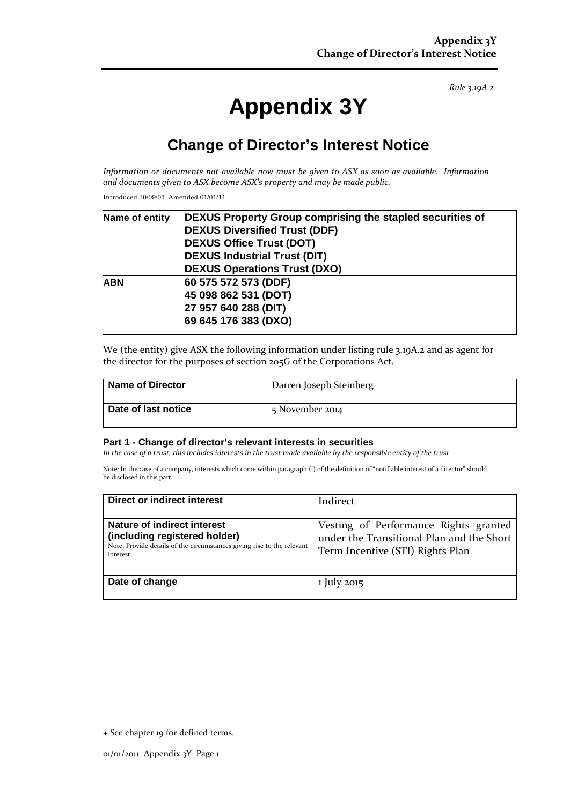*Rule 3.19A.2*

# **Appendix 3Y**

## **Change of Director's Interest Notice**

*Information or documents not available now must be given to ASX as soon as available. Information and documents given to ASX become ASX's property and may be made public.*

Introduced 30/09/01 Amended 01/01/11

| Name of entity | DEXUS Property Group comprising the stapled securities of |  |
|----------------|-----------------------------------------------------------|--|
|                | <b>DEXUS Diversified Trust (DDF)</b>                      |  |
|                | <b>DEXUS Office Trust (DOT)</b>                           |  |
|                | <b>DEXUS Industrial Trust (DIT)</b>                       |  |
|                | <b>DEXUS Operations Trust (DXO)</b>                       |  |
| <b>ABN</b>     | 60 575 572 573 (DDF)                                      |  |
|                | 45 098 862 531 (DOT)                                      |  |
|                | 27 957 640 288 (DIT)                                      |  |
|                | 69 645 176 383 (DXO)                                      |  |
|                |                                                           |  |

We (the entity) give ASX the following information under listing rule 3.19A.2 and as agent for the director for the purposes of section 205G of the Corporations Act.

| <b>Name of Director</b> | Darren Joseph Steinberg |
|-------------------------|-------------------------|
| Date of last notice     | 5 November 2014         |

#### **Part 1 - Change of director's relevant interests in securities**

*In the case of a trust, this includes interests in the trust made available by the responsible entity of the trust*

Note: In the case of a company, interests which come within paragraph (i) of the definition of "notifiable interest of a director" should be disclosed in this part.

| Direct or indirect interest                                                                                                                         | Indirect                                                                                                               |
|-----------------------------------------------------------------------------------------------------------------------------------------------------|------------------------------------------------------------------------------------------------------------------------|
| Nature of indirect interest<br>(including registered holder)<br>Note: Provide details of the circumstances giving rise to the relevant<br>interest. | Vesting of Performance Rights granted<br>under the Transitional Plan and the Short<br>Term Incentive (STI) Rights Plan |
| Date of change                                                                                                                                      | 1 July 2015                                                                                                            |

<sup>+</sup> See chapter 19 for defined terms.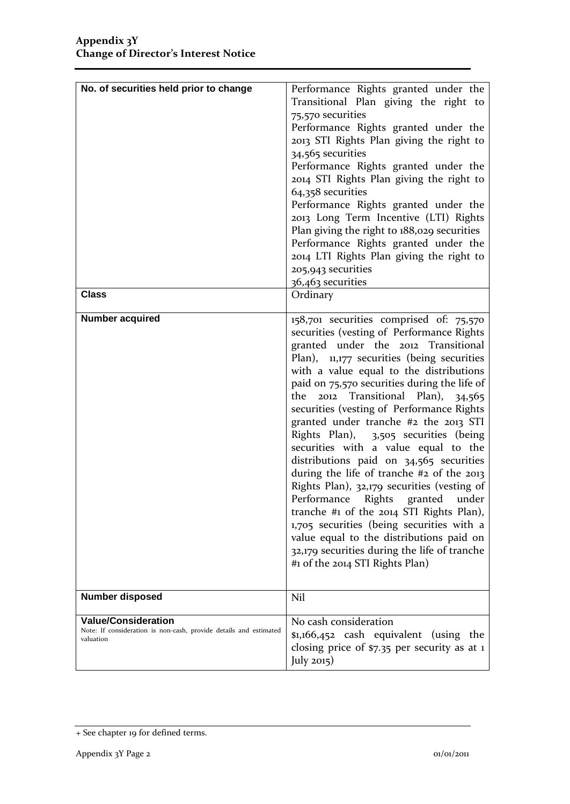| No. of securities held prior to change<br><b>Class</b>                                                       | Performance Rights granted under the<br>Transitional Plan giving the right to<br>75,570 securities<br>Performance Rights granted under the<br>2013 STI Rights Plan giving the right to<br>34,565 securities<br>Performance Rights granted under the<br>2014 STI Rights Plan giving the right to<br>64,358 securities<br>Performance Rights granted under the<br>2013 Long Term Incentive (LTI) Rights<br>Plan giving the right to 188,029 securities<br>Performance Rights granted under the<br>2014 LTI Rights Plan giving the right to<br>205,943 securities<br>36,463 securities<br>Ordinary                                                                                                                                                                                                                                                                                                 |
|--------------------------------------------------------------------------------------------------------------|-------------------------------------------------------------------------------------------------------------------------------------------------------------------------------------------------------------------------------------------------------------------------------------------------------------------------------------------------------------------------------------------------------------------------------------------------------------------------------------------------------------------------------------------------------------------------------------------------------------------------------------------------------------------------------------------------------------------------------------------------------------------------------------------------------------------------------------------------------------------------------------------------|
|                                                                                                              |                                                                                                                                                                                                                                                                                                                                                                                                                                                                                                                                                                                                                                                                                                                                                                                                                                                                                                 |
| <b>Number acquired</b>                                                                                       | 158,701 securities comprised of: 75,570<br>securities (vesting of Performance Rights<br>granted under the 2012 Transitional<br>Plan), $11,177$ securities (being securities<br>with a value equal to the distributions<br>paid on 75,570 securities during the life of<br>2012 Transitional Plan), 34,565<br>the<br>securities (vesting of Performance Rights<br>granted under tranche #2 the 2013 STI<br>Rights Plan), 3,505 securities (being<br>securities with a value equal to the<br>distributions paid on 34,565 securities<br>during the life of tranche #2 of the 2013<br>Rights Plan), 32,179 securities (vesting of<br>Performance Rights granted<br>under<br>tranche #1 of the $2014$ STI Rights Plan),<br>1,705 securities (being securities with a<br>value equal to the distributions paid on<br>32,179 securities during the life of tranche<br>#1 of the 2014 STI Rights Plan) |
| <b>Number disposed</b>                                                                                       | Nil                                                                                                                                                                                                                                                                                                                                                                                                                                                                                                                                                                                                                                                                                                                                                                                                                                                                                             |
| <b>Value/Consideration</b><br>Note: If consideration is non-cash, provide details and estimated<br>valuation | No cash consideration<br>\$1,166,452 cash equivalent (using the<br>closing price of $$7.35$ per security as at 1<br>July $2015$ )                                                                                                                                                                                                                                                                                                                                                                                                                                                                                                                                                                                                                                                                                                                                                               |

<sup>+</sup> See chapter 19 for defined terms.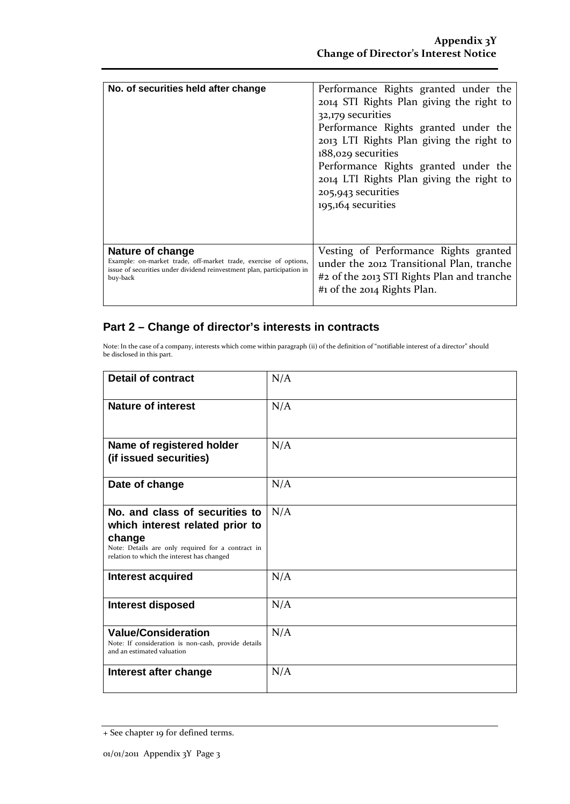| No. of securities held after change                                    | Performance Rights granted under the<br>2014 STI Rights Plan giving the right to<br>32,179 securities<br>Performance Rights granted under the<br>2013 LTI Rights Plan giving the right to<br>188,029 securities<br>Performance Rights granted under the<br>2014 LTI Rights Plan giving the right to<br>205,943 securities<br>195,164 securities |
|------------------------------------------------------------------------|-------------------------------------------------------------------------------------------------------------------------------------------------------------------------------------------------------------------------------------------------------------------------------------------------------------------------------------------------|
| Nature of change                                                       | Vesting of Performance Rights granted                                                                                                                                                                                                                                                                                                           |
| Example: on-market trade, off-market trade, exercise of options,       | under the 2012 Transitional Plan, tranche                                                                                                                                                                                                                                                                                                       |
| issue of securities under dividend reinvestment plan, participation in | #2 of the 2013 STI Rights Plan and tranche                                                                                                                                                                                                                                                                                                      |
| buy-back                                                               | #1 of the 2014 Rights Plan.                                                                                                                                                                                                                                                                                                                     |

### **Part 2 – Change of director's interests in contracts**

Note: In the case of a company, interests which come within paragraph (ii) of the definition of "notifiable interest of a director" should be disclosed in this part.

| <b>Detail of contract</b>                                                                                                                                                      | N/A |
|--------------------------------------------------------------------------------------------------------------------------------------------------------------------------------|-----|
| <b>Nature of interest</b>                                                                                                                                                      | N/A |
| Name of registered holder<br>(if issued securities)                                                                                                                            | N/A |
| Date of change                                                                                                                                                                 | N/A |
| No. and class of securities to<br>which interest related prior to<br>change<br>Note: Details are only required for a contract in<br>relation to which the interest has changed | N/A |
| <b>Interest acquired</b>                                                                                                                                                       | N/A |
| <b>Interest disposed</b>                                                                                                                                                       | N/A |
| <b>Value/Consideration</b><br>Note: If consideration is non-cash, provide details<br>and an estimated valuation                                                                | N/A |
| Interest after change                                                                                                                                                          | N/A |

<sup>+</sup> See chapter 19 for defined terms.